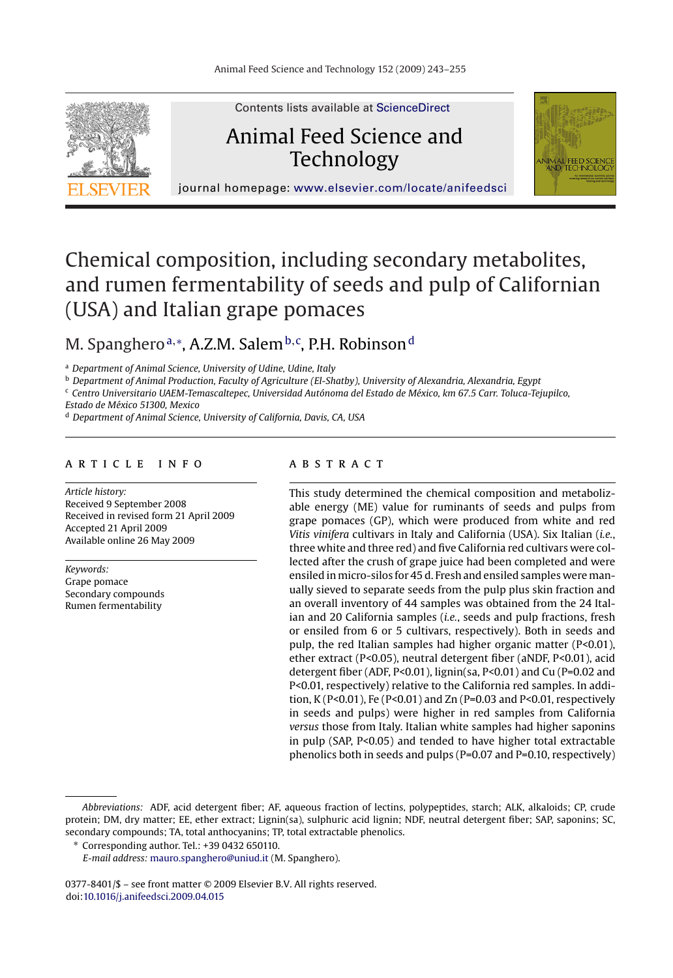

Contents lists available at [ScienceDirect](http://www.sciencedirect.com/science/journal/03778401)

# Animal Feed Science and Technology



journal homepage: [www.elsevier.com/locate/anifeedsci](http://www.elsevier.com/locate/anifeedsci)

# Chemical composition, including secondary metabolites, and rumen fermentability of seeds and pulp of Californian (USA) and Italian grape pomaces

# M. Spangheroª,\*, A.Z.M. Salem<sup>b,c</sup>, P.H. Robinson<sup>d</sup>

<sup>a</sup> *Department of Animal Science, University of Udine, Udine, Italy*

<sup>b</sup> *Department of Animal Production, Faculty of Agriculture (El-Shatby), University of Alexandria, Alexandria, Egypt*

<sup>c</sup> *Centro Universitario UAEM-Temascaltepec, Universidad Autónoma del Estado de México, km 67.5 Carr. Toluca-Tejupilco,*

*Estado de México 51300, Mexico*

<sup>d</sup> *Department of Animal Science, University of California, Davis, CA, USA*

# article info

*Article history:* Received 9 September 2008 Received in revised form 21 April 2009 Accepted 21 April 2009 Available online 26 May 2009

*Keywords:* Grape pomace Secondary compounds Rumen fermentability

# **ABSTRACT**

This study determined the chemical composition and metabolizable energy (ME) value for ruminants of seeds and pulps from grape pomaces (GP), which were produced from white and red *Vitis vinifera* cultivars in Italy and California (USA). Six Italian (*i.e.*, three white and three red) and five California red cultivars were collected after the crush of grape juice had been completed and were ensiled in micro-silos for 45 d. Fresh and ensiled samples were manually sieved to separate seeds from the pulp plus skin fraction and an overall inventory of 44 samples was obtained from the 24 Italian and 20 California samples (*i.e.*, seeds and pulp fractions, fresh or ensiled from 6 or 5 cultivars, respectively). Both in seeds and pulp, the red Italian samples had higher organic matter (P<0.01), ether extract (P<0.05), neutral detergent fiber (aNDF, P<0.01), acid detergent fiber (ADF, P<0.01), lignin(sa, P<0.01) and Cu (P=0.02 and P<0.01, respectively) relative to the California red samples. In addition, K (P<0.01), Fe (P<0.01) and Zn (P=0.03 and P<0.01, respectively in seeds and pulps) were higher in red samples from California *versus* those from Italy. Italian white samples had higher saponins in pulp (SAP, P<0.05) and tended to have higher total extractable phenolics both in seeds and pulps (P=0.07 and P=0.10, respectively)

0377-8401/\$ – see front matter © 2009 Elsevier B.V. All rights reserved. doi:[10.1016/j.anifeedsci.2009.04.015](dx.doi.org/10.1016/j.anifeedsci.2009.04.015)

*Abbreviations:* ADF, acid detergent fiber; AF, aqueous fraction of lectins, polypeptides, starch; ALK, alkaloids; CP, crude protein; DM, dry matter; EE, ether extract; Lignin(sa), sulphuric acid lignin; NDF, neutral detergent fiber; SAP, saponins; SC, secondary compounds; TA, total anthocyanins; TP, total extractable phenolics.

<sup>∗</sup> Corresponding author. Tel.: +39 0432 650110.

*E-mail address:* [mauro.spanghero@uniud.it](mailto:mauro.spanghero@uniud.it) (M. Spanghero).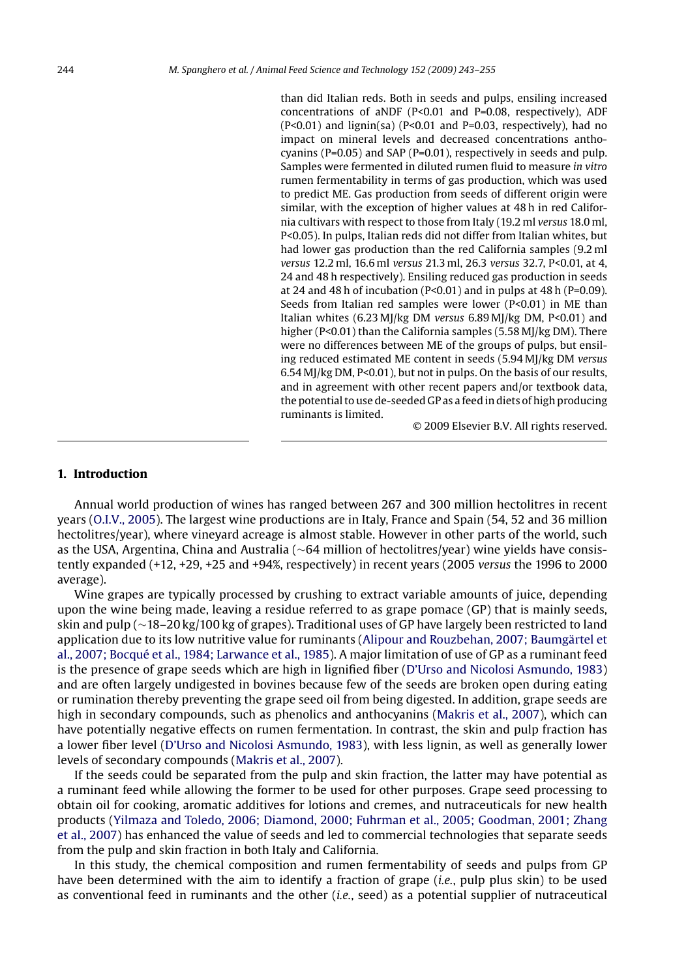than did Italian reds. Both in seeds and pulps, ensiling increased concentrations of aNDF (P<0.01 and P=0.08, respectively), ADF (P<0.01) and lignin(sa) (P<0.01 and P=0.03, respectively), had no impact on mineral levels and decreased concentrations anthocyanins (P=0.05) and SAP (P=0.01), respectively in seeds and pulp. Samples were fermented in diluted rumen fluid to measure *in vitro* rumen fermentability in terms of gas production, which was used to predict ME. Gas production from seeds of different origin were similar, with the exception of higher values at 48 h in red California cultivars with respect to those from Italy (19.2 ml *versus* 18.0 ml, P<0.05). In pulps, Italian reds did not differ from Italian whites, but had lower gas production than the red California samples (9.2 ml *versus* 12.2 ml, 16.6 ml *versus* 21.3 ml, 26.3 *versus* 32.7, P<0.01, at 4, 24 and 48 h respectively). Ensiling reduced gas production in seeds at 24 and 48 h of incubation ( $P<0.01$ ) and in pulps at 48 h ( $P=0.09$ ). Seeds from Italian red samples were lower (P<0.01) in ME than Italian whites (6.23 MJ/kg DM *versus* 6.89 MJ/kg DM, P<0.01) and higher (P<0.01) than the California samples (5.58 MJ/kg DM). There were no differences between ME of the groups of pulps, but ensiling reduced estimated ME content in seeds (5.94 MJ/kg DM *versus* 6.54 MJ/kg DM, P<0.01), but not in pulps. On the basis of our results, and in agreement with other recent papers and/or textbook data, the potential to use de-seeded GP as a feed in diets of high producing ruminants is limited.

© 2009 Elsevier B.V. All rights reserved.

# **1. Introduction**

Annual world production of wines has ranged between 267 and 300 million hectolitres in recent years [\(O.I.V., 2005\).](#page-11-0) The largest wine productions are in Italy, France and Spain (54, 52 and 36 million hectolitres/year), where vineyard acreage is almost stable. However in other parts of the world, such as the USA, Argentina, China and Australia (∼64 million of hectolitres/year) wine yields have consistently expanded (+12, +29, +25 and +94%, respectively) in recent years (2005 *versus* the 1996 to 2000 average).

Wine grapes are typically processed by crushing to extract variable amounts of juice, depending upon the wine being made, leaving a residue referred to as grape pomace (GP) that is mainly seeds, skin and pulp (∼18–20 kg/100 kg of grapes). Traditional uses of GP have largely been restricted to land application due to its low nutritive value for ruminants [\(Alipour and Rouzbehan, 2007; Baumgärtel et](#page-10-0) [al., 2007; Bocqué et al., 1984; Larwance et al., 1985\).](#page-10-0) A major limitation of use of GP as a ruminant feed is the presence of grape seeds which are high in lignified fiber ([D'Urso and Nicolosi Asmundo, 1983\)](#page-10-0) and are often largely undigested in bovines because few of the seeds are broken open during eating or rumination thereby preventing the grape seed oil from being digested. In addition, grape seeds are high in secondary compounds, such as phenolics and anthocyanins ([Makris et al., 2007\),](#page-11-0) which can have potentially negative effects on rumen fermentation. In contrast, the skin and pulp fraction has a lower fiber level ([D'Urso and Nicolosi Asmundo, 1983\),](#page-10-0) with less lignin, as well as generally lower levels of secondary compounds ([Makris et al., 2007\).](#page-11-0)

If the seeds could be separated from the pulp and skin fraction, the latter may have potential as a ruminant feed while allowing the former to be used for other purposes. Grape seed processing to obtain oil for cooking, aromatic additives for lotions and cremes, and nutraceuticals for new health products ([Yilmaza and Toledo, 2006; Diamond, 2000; Fuhrman et al., 2005; Goodman, 2001; Zhang](#page-12-0) [et al., 2007\) h](#page-12-0)as enhanced the value of seeds and led to commercial technologies that separate seeds from the pulp and skin fraction in both Italy and California.

In this study, the chemical composition and rumen fermentability of seeds and pulps from GP have been determined with the aim to identify a fraction of grape (*i.e.*, pulp plus skin) to be used as conventional feed in ruminants and the other (*i.e.*, seed) as a potential supplier of nutraceutical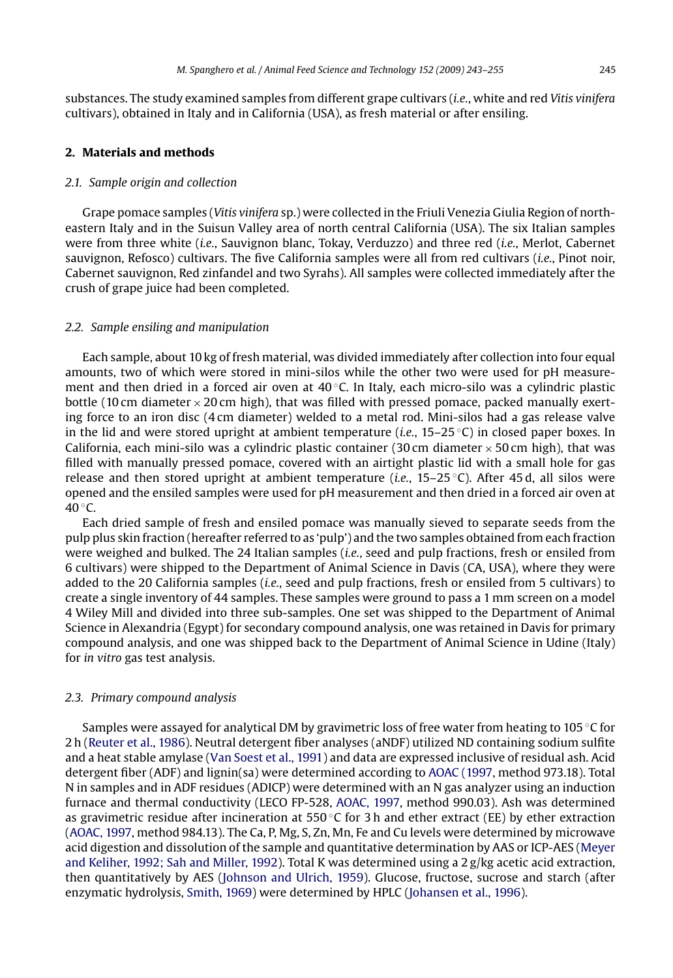<span id="page-2-0"></span>substances. The study examined samples from different grape cultivars (*i.e.*, white and red *Vitis vinifera* cultivars), obtained in Italy and in California (USA), as fresh material or after ensiling.

#### **2. Materials and methods**

### *2.1. Sample origin and collection*

Grape pomace samples (*Vitis vinifera* sp.) were collected in the Friuli Venezia Giulia Region of northeastern Italy and in the Suisun Valley area of north central California (USA). The six Italian samples were from three white (*i.e.*, Sauvignon blanc, Tokay, Verduzzo) and three red (*i.e.*, Merlot, Cabernet sauvignon, Refosco) cultivars. The five California samples were all from red cultivars (*i.e.*, Pinot noir, Cabernet sauvignon, Red zinfandel and two Syrahs). All samples were collected immediately after the crush of grape juice had been completed.

### *2.2. Sample ensiling and manipulation*

Each sample, about 10 kg of fresh material, was divided immediately after collection into four equal amounts, two of which were stored in mini-silos while the other two were used for pH measurement and then dried in a forced air oven at  $40^{\circ}$ C. In Italy, each micro-silo was a cylindric plastic bottle (10 cm diameter  $\times$  20 cm high), that was filled with pressed pomace, packed manually exerting force to an iron disc (4 cm diameter) welded to a metal rod. Mini-silos had a gas release valve in the lid and were stored upright at ambient temperature (*i.e.*, 15–25 ◦C) in closed paper boxes. In California, each mini-silo was a cylindric plastic container (30 cm diameter  $\times$  50 cm high), that was filled with manually pressed pomace, covered with an airtight plastic lid with a small hole for gas release and then stored upright at ambient temperature (*i.e.*, 15–25 ◦C). After 45 d, all silos were opened and the ensiled samples were used for pH measurement and then dried in a forced air oven at  $40^{\circ}$ C.

Each dried sample of fresh and ensiled pomace was manually sieved to separate seeds from the pulp plus skin fraction (hereafter referred to as 'pulp') and the two samples obtained from each fraction were weighed and bulked. The 24 Italian samples (*i.e.*, seed and pulp fractions, fresh or ensiled from 6 cultivars) were shipped to the Department of Animal Science in Davis (CA, USA), where they were added to the 20 California samples (*i.e.*, seed and pulp fractions, fresh or ensiled from 5 cultivars) to create a single inventory of 44 samples. These samples were ground to pass a 1 mm screen on a model 4 Wiley Mill and divided into three sub-samples. One set was shipped to the Department of Animal Science in Alexandria (Egypt) for secondary compound analysis, one was retained in Davis for primary compound analysis, and one was shipped back to the Department of Animal Science in Udine (Italy) for *in vitro* gas test analysis.

#### *2.3. Primary compound analysis*

Samples were assayed for analytical DM by gravimetric loss of free water from heating to 105 ◦C for 2h[\(Reuter et al., 1986\).](#page-11-0) Neutral detergent fiber analyses (aNDF) utilized ND containing sodium sulfite and a heat stable amylase [\(Van Soest et al., 1991\) a](#page-12-0)nd data are expressed inclusive of residual ash. Acid detergent fiber (ADF) and lignin(sa) were determined according to [AOAC \(1997, m](#page-10-0)ethod 973.18). Total N in samples and in ADF residues (ADICP) were determined with an N gas analyzer using an induction furnace and thermal conductivity (LECO FP-528, [AOAC, 1997, m](#page-10-0)ethod 990.03). Ash was determined as gravimetric residue after incineration at 550 °C for 3 h and ether extract (EE) by ether extraction [\(AOAC, 1997, m](#page-10-0)ethod 984.13). The Ca, P, Mg, S, Zn, Mn, Fe and Cu levels were determined by microwave acid digestion and dissolution of the sample and quantitative determination by AAS or ICP-AES ([Meyer](#page-11-0) [and Keliher, 1992; Sah and Miller, 1992\).](#page-11-0) Total K was determined using a 2 g/kg acetic acid extraction, then quantitatively by AES ([Johnson and Ulrich, 1959\).](#page-11-0) Glucose, fructose, sucrose and starch (after enzymatic hydrolysis, [Smith, 1969\)](#page-12-0) were determined by HPLC ([Johansen et al., 1996\).](#page-11-0)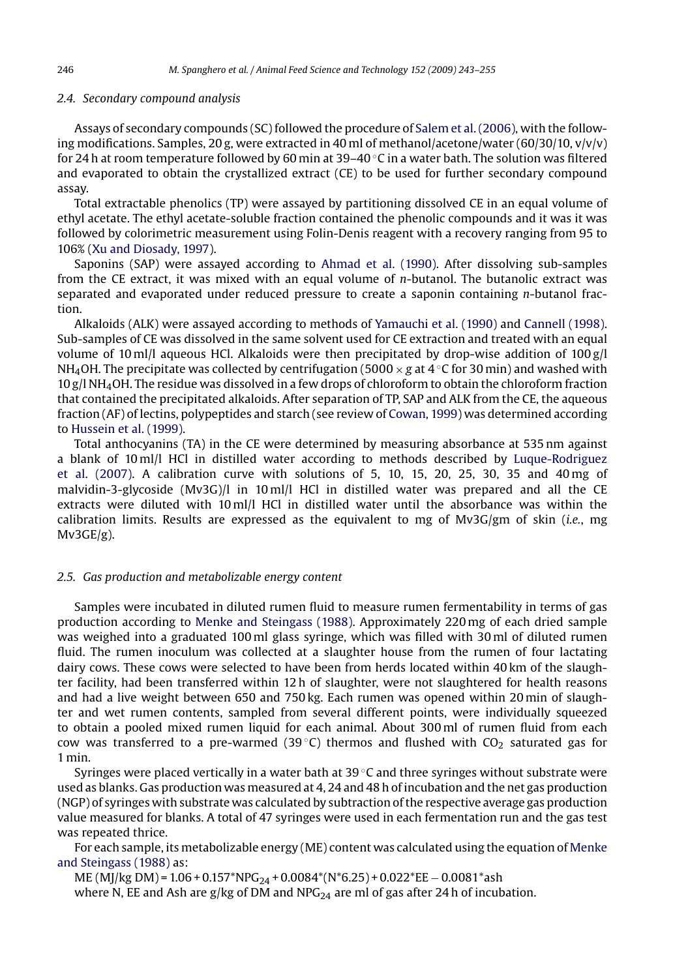#### *2.4. Secondary compound analysis*

Assays of secondary compounds (SC) followed the procedure of [Salem et al. \(2006\), w](#page-12-0)ith the following modifications. Samples, 20 g, were extracted in 40 ml of methanol/acetone/water (60/30/10,  $v/v/v$ ) for 24 h at room temperature followed by 60 min at 39–40  $\degree$ C in a water bath. The solution was filtered and evaporated to obtain the crystallized extract (CE) to be used for further secondary compound assay.

Total extractable phenolics (TP) were assayed by partitioning dissolved CE in an equal volume of ethyl acetate. The ethyl acetate-soluble fraction contained the phenolic compounds and it was it was followed by colorimetric measurement using Folin-Denis reagent with a recovery ranging from 95 to 106% [\(Xu and Diosady, 1997\).](#page-12-0)

Saponins (SAP) were assayed according to [Ahmad et al. \(1990\).](#page-10-0) After dissolving sub-samples from the CE extract, it was mixed with an equal volume of *n*-butanol. The butanolic extract was separated and evaporated under reduced pressure to create a saponin containing *n*-butanol fraction.

Alkaloids (ALK) were assayed according to methods of [Yamauchi et al. \(1990\)](#page-12-0) and [Cannell \(1998\).](#page-10-0) Sub-samples of CE was dissolved in the same solvent used for CE extraction and treated with an equal volume of 10 ml/l aqueous HCl. Alkaloids were then precipitated by drop-wise addition of  $100 \text{ g/l}$ NH<sub>4</sub>OH. The precipitate was collected by centrifugation (5000  $\times$  *g* at 4  $\degree$ C for 30 min) and washed with 10 g/l NH4OH. The residue was dissolved in a few drops of chloroform to obtain the chloroform fraction that contained the precipitated alkaloids. After separation of TP, SAP and ALK from the CE, the aqueous fraction (AF) of lectins, polypeptides and starch (see review of [Cowan, 1999\) w](#page-10-0)as determined according to [Hussein et al. \(1999\).](#page-11-0)

Total anthocyanins (TA) in the CE were determined by measuring absorbance at 535 nm against a blank of 10 ml/l HCl in distilled water according to methods described by [Luque-Rodriguez](#page-11-0) [et al. \(2007\).](#page-11-0) A calibration curve with solutions of 5, 10, 15, 20, 25, 30, 35 and 40 mg of malvidin-3-glycoside (Mv3G)/l in 10 ml/l HCl in distilled water was prepared and all the CE extracts were diluted with 10 ml/l HCl in distilled water until the absorbance was within the calibration limits. Results are expressed as the equivalent to mg of Mv3G/gm of skin (*i.e.*, mg Mv3GE/g).

# *2.5. Gas production and metabolizable energy content*

Samples were incubated in diluted rumen fluid to measure rumen fermentability in terms of gas production according to [Menke and Steingass \(1988\).](#page-11-0) Approximately 220 mg of each dried sample was weighed into a graduated 100 ml glass syringe, which was filled with 30 ml of diluted rumen fluid. The rumen inoculum was collected at a slaughter house from the rumen of four lactating dairy cows. These cows were selected to have been from herds located within 40 km of the slaughter facility, had been transferred within 12 h of slaughter, were not slaughtered for health reasons and had a live weight between 650 and 750 kg. Each rumen was opened within 20 min of slaughter and wet rumen contents, sampled from several different points, were individually squeezed to obtain a pooled mixed rumen liquid for each animal. About 300 ml of rumen fluid from each cow was transferred to a pre-warmed (39 $\degree$ C) thermos and flushed with CO<sub>2</sub> saturated gas for 1 min.

Syringes were placed vertically in a water bath at  $39^{\circ}$ C and three syringes without substrate were used as blanks. Gas production was measured at 4, 24 and 48 h of incubation and the net gas production (NGP) of syringes with substrate was calculated by subtraction of the respective average gas production value measured for blanks. A total of 47 syringes were used in each fermentation run and the gas test was repeated thrice.

For each sample, its metabolizable energy (ME) content was calculated using the equation of [Menke](#page-11-0) [and Steingass \(1988\)](#page-11-0) as:

ME (MJ/kg DM) =  $1.06 + 0.157*NPG_{24} + 0.0084*(N*6.25) + 0.022*EE - 0.0081*ash$ where N, EE and Ash are  $g/kg$  of DM and NPG<sub>24</sub> are ml of gas after 24 h of incubation.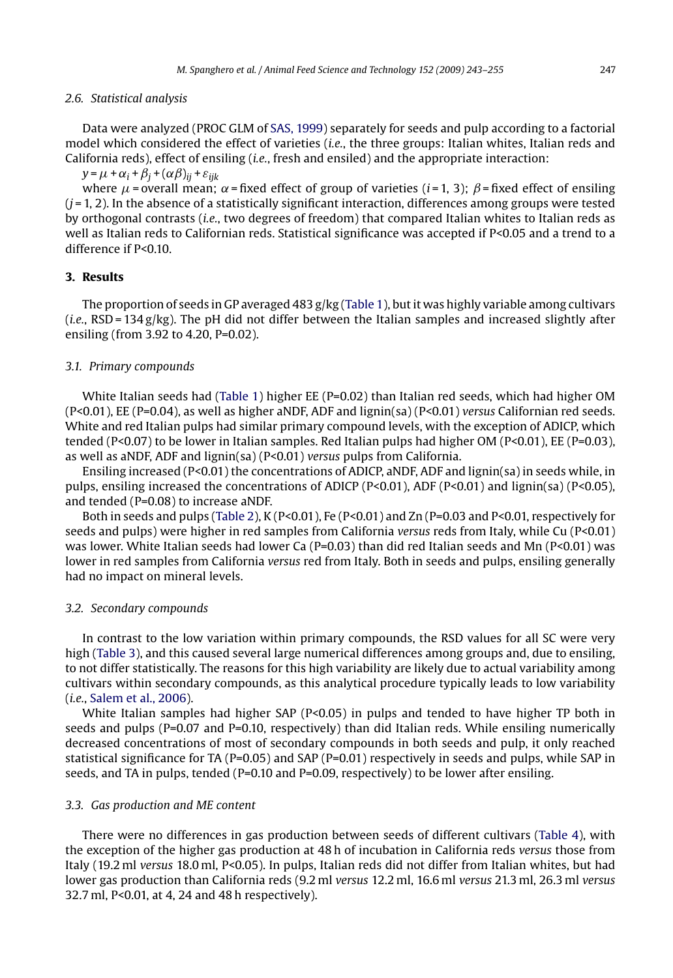#### *2.6. Statistical analysis*

Data were analyzed (PROC GLM of [SAS, 1999\) s](#page-12-0)eparately for seeds and pulp according to a factorial model which considered the effect of varieties (*i.e.*, the three groups: Italian whites, Italian reds and California reds), effect of ensiling (*i.e.*, fresh and ensiled) and the appropriate interaction:

 $y = \mu + \alpha_i + \beta_j + (\alpha \beta)_{ij} + \varepsilon_{ijk}$ 

where  $\mu$  = overall mean;  $\alpha$  = fixed effect of group of varieties (*i* = 1, 3);  $\beta$  = fixed effect of ensiling  $(i=1, 2)$ . In the absence of a statistically significant interaction, differences among groups were tested by orthogonal contrasts (*i.e.*, two degrees of freedom) that compared Italian whites to Italian reds as well as Italian reds to Californian reds. Statistical significance was accepted if P<0.05 and a trend to a difference if P<0.10.

# **3. Results**

The proportion of seeds in GP averaged 483 g/kg [\(Table 1\),](#page-5-0) but it was highly variable among cultivars  $(i.e., RSD = 134 g/kg)$ . The pH did not differ between the Italian samples and increased slightly after ensiling (from 3.92 to 4.20, P=0.02).

# *3.1. Primary compounds*

White Italian seeds had ([Table 1\)](#page-5-0) higher EE (P=0.02) than Italian red seeds, which had higher OM (P<0.01), EE (P=0.04), as well as higher aNDF, ADF and lignin(sa) (P<0.01) *versus* Californian red seeds. White and red Italian pulps had similar primary compound levels, with the exception of ADICP, which tended (P<0.07) to be lower in Italian samples. Red Italian pulps had higher OM (P<0.01), EE (P=0.03), as well as aNDF, ADF and lignin(sa) (P<0.01) *versus* pulps from California.

Ensiling increased (P<0.01) the concentrations of ADICP, aNDF, ADF and lignin(sa) in seeds while, in pulps, ensiling increased the concentrations of ADICP (P<0.01), ADF (P<0.01) and lignin(sa) (P<0.05), and tended (P=0.08) to increase aNDF.

Both in seeds and pulps [\(Table 2\),](#page-6-0) K (P<0.01), Fe (P<0.01) and Zn (P=0.03 and P<0.01, respectively for seeds and pulps) were higher in red samples from California *versus* reds from Italy, while Cu (P<0.01) was lower. White Italian seeds had lower Ca (P=0.03) than did red Italian seeds and Mn (P<0.01) was lower in red samples from California *versus* red from Italy. Both in seeds and pulps, ensiling generally had no impact on mineral levels.

#### *3.2. Secondary compounds*

In contrast to the low variation within primary compounds, the RSD values for all SC were very high [\(Table 3\),](#page-6-0) and this caused several large numerical differences among groups and, due to ensiling, to not differ statistically. The reasons for this high variability are likely due to actual variability among cultivars within secondary compounds, as this analytical procedure typically leads to low variability (*i.e.*, [Salem et al., 2006\).](#page-12-0)

White Italian samples had higher SAP  $(P< 0.05)$  in pulps and tended to have higher TP both in seeds and pulps (P=0.07 and P=0.10, respectively) than did Italian reds. While ensiling numerically decreased concentrations of most of secondary compounds in both seeds and pulp, it only reached statistical significance for TA ( $P=0.05$ ) and SAP ( $P=0.01$ ) respectively in seeds and pulps, while SAP in seeds, and TA in pulps, tended (P=0.10 and P=0.09, respectively) to be lower after ensiling.

#### *3.3. Gas production and ME content*

There were no differences in gas production between seeds of different cultivars ([Table 4\),](#page-7-0) with the exception of the higher gas production at 48 h of incubation in California reds *versus* those from Italy (19.2 ml *versus* 18.0 ml, P<0.05). In pulps, Italian reds did not differ from Italian whites, but had lower gas production than California reds (9.2 ml *versus* 12.2 ml, 16.6 ml *versus* 21.3 ml, 26.3 ml *versus* 32.7 ml, P<0.01, at 4, 24 and 48 h respectively).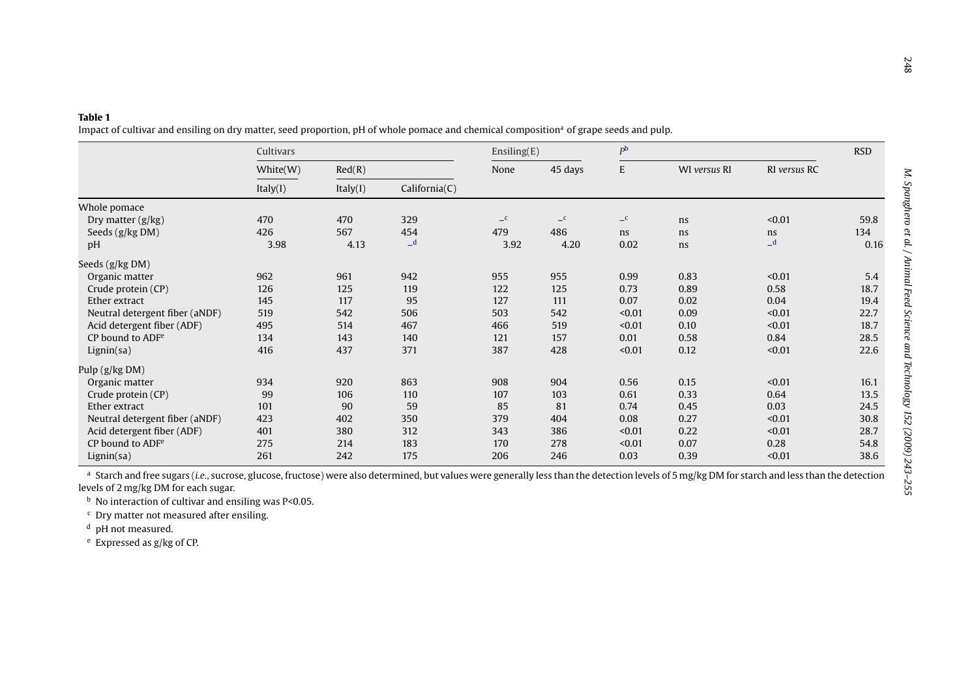<span id="page-5-0"></span>

|                                | Cultivars |          |               | Ensiling(E)  |              | P <sub>b</sub> |              | <b>RSD</b>   |      |
|--------------------------------|-----------|----------|---------------|--------------|--------------|----------------|--------------|--------------|------|
|                                | White(W)  | Red(R)   |               | None         | 45 days      | E              | WI versus RI | RI versus RC |      |
|                                | Italy(I)  | Italy(I) | California(C) |              |              |                |              |              |      |
| Whole pomace                   |           |          |               |              |              |                |              |              |      |
| Dry matter $(g/kg)$            | 470       | 470      | 329           | $\mathbf{C}$ | $\mathbf{C}$ | $\mathbf{C}$   | ns           | < 0.01       | 59.8 |
| Seeds (g/kg DM)                | 426       | 567      | 454           | 479          | 486          | ns             | ns           | ns           | 134  |
| pH                             | 3.98      | 4.13     | $-d$          | 3.92         | 4.20         | 0.02           | ns           | $-d$         | 0.16 |
| Seeds (g/kg DM)                |           |          |               |              |              |                |              |              |      |
| Organic matter                 | 962       | 961      | 942           | 955          | 955          | 0.99           | 0.83         | < 0.01       | 5.4  |
| Crude protein (CP)             | 126       | 125      | 119           | 122          | 125          | 0.73           | 0.89         | 0.58         | 18.7 |
| Ether extract                  | 145       | 117      | 95            | 127          | 111          | 0.07           | 0.02         | 0.04         | 19.4 |
| Neutral detergent fiber (aNDF) | 519       | 542      | 506           | 503          | 542          | < 0.01         | 0.09         | < 0.01       | 22.7 |
| Acid detergent fiber (ADF)     | 495       | 514      | 467           | 466          | 519          | < 0.01         | 0.10         | < 0.01       | 18.7 |
| CP bound to ADF <sup>e</sup>   | 134       | 143      | 140           | 121          | 157          | 0.01           | 0.58         | 0.84         | 28.5 |
| Lignin(sa)                     | 416       | 437      | 371           | 387          | 428          | < 0.01         | 0.12         | < 0.01       | 22.6 |
| Pulp (g/kg DM)                 |           |          |               |              |              |                |              |              |      |
| Organic matter                 | 934       | 920      | 863           | 908          | 904          | 0.56           | 0.15         | < 0.01       | 16.1 |
| Crude protein (CP)             | 99        | 106      | 110           | 107          | 103          | 0.61           | 0.33         | 0.64         | 13.5 |
| Ether extract                  | 101       | 90       | 59            | 85           | 81           | 0.74           | 0.45         | 0.03         | 24.5 |
| Neutral detergent fiber (aNDF) | 423       | 402      | 350           | 379          | 404          | 0.08           | 0.27         | < 0.01       | 30.8 |
| Acid detergent fiber (ADF)     | 401       | 380      | 312           | 343          | 386          | < 0.01         | 0.22         | < 0.01       | 28.7 |
| CP bound to ADF <sup>e</sup>   | 275       | 214      | 183           | 170          | 278          | < 0.01         | 0.07         | 0.28         | 54.8 |
| Lignin(sa)                     | 261       | 242      | 175           | 206          | 246          | 0.03           | 0.39         | < 0.01       | 38.6 |

<sup>b</sup> No interaction of cultivar and ensiling was P<0.05.

<sup>c</sup> Dry matter not measured after ensiling.

<sup>d</sup> pH not measured.

e Expressed as g/kg of CP.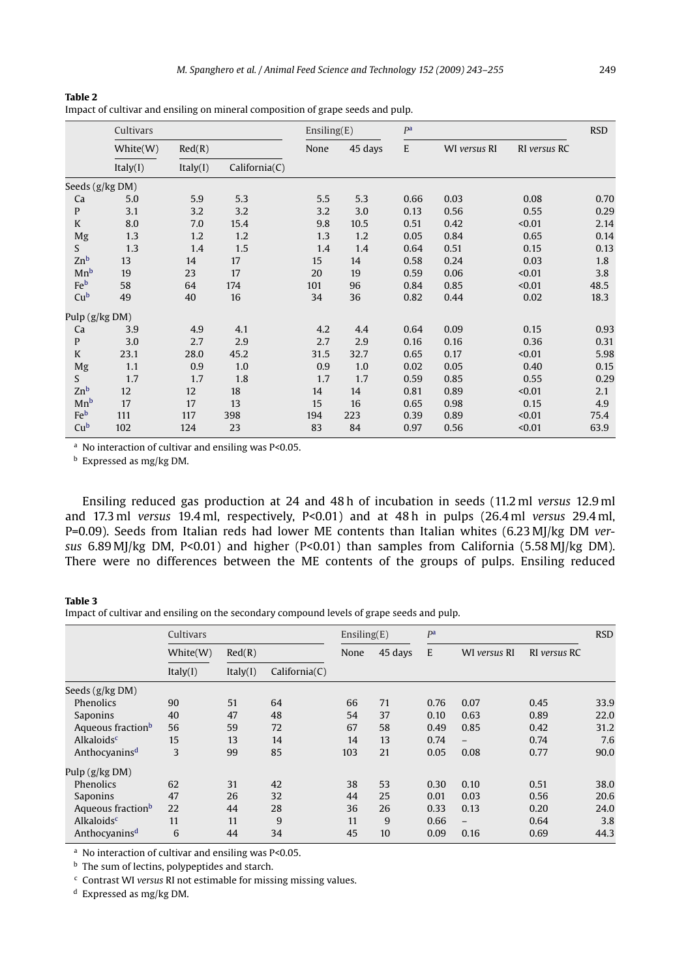|                  | Cultivars |          | Ensiling(E)   |      | pa      | <b>RSD</b> |              |              |      |
|------------------|-----------|----------|---------------|------|---------|------------|--------------|--------------|------|
|                  | White(W)  | Red(R)   |               | None | 45 days | E          | WI versus RI | RI versus RC |      |
|                  | Italy(I)  | Italy(I) | California(C) |      |         |            |              |              |      |
| Seeds (g/kg DM)  |           |          |               |      |         |            |              |              |      |
| Ca               | 5.0       | 5.9      | 5.3           | 5.5  | 5.3     | 0.66       | 0.03         | 0.08         | 0.70 |
| $\mathbf{P}$     | 3.1       | 3.2      | 3.2           | 3.2  | 3.0     | 0.13       | 0.56         | 0.55         | 0.29 |
| K                | 8.0       | 7.0      | 15.4          | 9.8  | 10.5    | 0.51       | 0.42         | < 0.01       | 2.14 |
| Mg               | 1.3       | 1.2      | 1.2           | 1.3  | 1.2     | 0.05       | 0.84         | 0.65         | 0.14 |
| S                | 1.3       | 1.4      | 1.5           | 1.4  | 1.4     | 0.64       | 0.51         | 0.15         | 0.13 |
| Zn <sub>b</sub>  | 13        | 14       | 17            | 15   | 14      | 0.58       | 0.24         | 0.03         | 1.8  |
| Mn <sup>b</sup>  | 19        | 23       | 17            | 20   | 19      | 0.59       | 0.06         | < 0.01       | 3.8  |
| Feb              | 58        | 64       | 174           | 101  | 96      | 0.84       | 0.85         | < 0.01       | 48.5 |
| Cu <sup>b</sup>  | 49        | 40       | 16            | 34   | 36      | 0.82       | 0.44         | 0.02         | 18.3 |
| Pulp $(g/kg DM)$ |           |          |               |      |         |            |              |              |      |
| Ca               | 3.9       | 4.9      | 4.1           | 4.2  | 4.4     | 0.64       | 0.09         | 0.15         | 0.93 |
| $\mathbf{P}$     | 3.0       | 2.7      | 2.9           | 2.7  | 2.9     | 0.16       | 0.16         | 0.36         | 0.31 |
| K                | 23.1      | 28.0     | 45.2          | 31.5 | 32.7    | 0.65       | 0.17         | < 0.01       | 5.98 |
| Mg               | 1.1       | 0.9      | 1.0           | 0.9  | 1.0     | 0.02       | 0.05         | 0.40         | 0.15 |
| S                | 1.7       | 1.7      | 1.8           | 1.7  | 1.7     | 0.59       | 0.85         | 0.55         | 0.29 |
| Zn <sub>b</sub>  | 12        | 12       | 18            | 14   | 14      | 0.81       | 0.89         | < 0.01       | 2.1  |

Impact of cultivar and ensiling on mineral composition of grape seeds and pulp.

<sup>a</sup> No interaction of cultivar and ensiling was P<0.05.

<sup>b</sup> Expressed as mg/kg DM.

Ensiling reduced gas production at 24 and 48 h of incubation in seeds (11.2 ml *versus* 12.9 ml and 17.3 ml *versus* 19.4 ml, respectively, P<0.01) and at 48 h in pulps (26.4 ml *versus* 29.4 ml, P=0.09). Seeds from Italian reds had lower ME contents than Italian whites (6.23 MJ/kg DM *versus* 6.89 MJ/kg DM, P<0.01) and higher (P<0.01) than samples from California (5.58 MJ/kg DM). There were no differences between the ME contents of the groups of pulps. Ensiling reduced

Mn<sup>b</sup> 17 17 13 15 16 0.65 0.98 0.15 4.9 Feb 111 117 398 194 223 0.39 0.89 <0.01 75.4 Cu<sup>b</sup> 102 124 23 83 84 0.97 0.56 <0.01 63.9

#### **Table 3**

<span id="page-6-0"></span>**Table 2**

Impact of cultivar and ensiling on the secondary compound levels of grape seeds and pulp.

|                               | Cultivars |          | Ensiling(E)   |      | P <sup>a</sup> |      |                          | <b>RSD</b>   |      |
|-------------------------------|-----------|----------|---------------|------|----------------|------|--------------------------|--------------|------|
|                               | White(W)  | Red(R)   |               | None | 45 days        | E    | WI versus RI             | RI versus RC |      |
|                               | Italy(I)  | Italy(I) | California(C) |      |                |      |                          |              |      |
| Seeds (g/kg DM)               |           |          |               |      |                |      |                          |              |      |
| <b>Phenolics</b>              | 90        | 51       | 64            | 66   | 71             | 0.76 | 0.07                     | 0.45         | 33.9 |
| Saponins                      | 40        | 47       | 48            | 54   | 37             | 0.10 | 0.63                     | 0.89         | 22.0 |
| Aqueous fraction <sup>b</sup> | 56        | 59       | 72            | 67   | 58             | 0.49 | 0.85                     | 0.42         | 31.2 |
| Alkaloids <sup>c</sup>        | 15        | 13       | 14            | 14   | 13             | 0.74 | $\overline{\phantom{0}}$ | 0.74         | 7.6  |
| Anthocyanins <sup>d</sup>     | 3         | 99       | 85            | 103  | 21             | 0.05 | 0.08                     | 0.77         | 90.0 |
| Pulp $(g/kg DM)$              |           |          |               |      |                |      |                          |              |      |
| Phenolics                     | 62        | 31       | 42            | 38   | 53             | 0.30 | 0.10                     | 0.51         | 38.0 |
| Saponins                      | 47        | 26       | 32            | 44   | 25             | 0.01 | 0.03                     | 0.56         | 20.6 |
| Aqueous fraction <sup>b</sup> | 22        | 44       | 28            | 36   | 26             | 0.33 | 0.13                     | 0.20         | 24.0 |
| Alkaloids <sup>c</sup>        | 11        | 11       | 9             | 11   | 9              | 0.66 | $\equiv$                 | 0.64         | 3.8  |
| Anthocyanins <sup>d</sup>     | 6         | 44       | 34            | 45   | 10             | 0.09 | 0.16                     | 0.69         | 44.3 |

<sup>a</sup> No interaction of cultivar and ensiling was P<0.05.

**b** The sum of lectins, polypeptides and starch.

<sup>c</sup> Contrast WI *versus* RI not estimable for missing missing values.

<sup>d</sup> Expressed as mg/kg DM.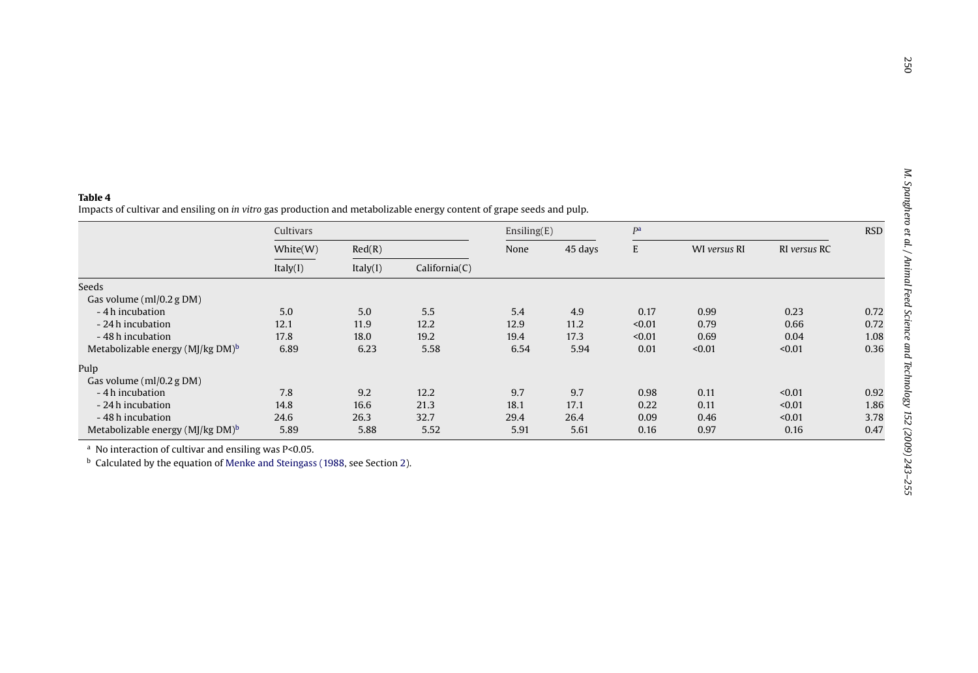<span id="page-7-0"></span>

|                                              | Cultivars            |          |               | Ensiling(E) |         | P <sup>a</sup> |              |              | <b>RSD</b> |
|----------------------------------------------|----------------------|----------|---------------|-------------|---------|----------------|--------------|--------------|------------|
|                                              | White(W)<br>Italy(I) | Red(R)   |               | None        | 45 days | E              | WI versus RI | RI versus RC |            |
|                                              |                      | Italy(I) | California(C) |             |         |                |              |              |            |
| Seeds                                        |                      |          |               |             |         |                |              |              |            |
| Gas volume (ml/0.2 g DM)                     |                      |          |               |             |         |                |              |              |            |
| - 4 h incubation                             | 5.0                  | 5.0      | 5.5           | 5.4         | 4.9     | 0.17           | 0.99         | 0.23         | 0.72       |
| - 24 h incubation                            | 12.1                 | 11.9     | 12.2          | 12.9        | 11.2    | < 0.01         | 0.79         | 0.66         | 0.72       |
| -48 h incubation                             | 17.8                 | 18.0     | 19.2          | 19.4        | 17.3    | < 0.01         | 0.69         | 0.04         | 1.08       |
| Metabolizable energy $(M)/kg$ DM $)^b$       | 6.89                 | 6.23     | 5.58          | 6.54        | 5.94    | 0.01           | < 0.01       | < 0.01       | 0.36       |
| Pulp                                         |                      |          |               |             |         |                |              |              |            |
| Gas volume $(ml/0.2 g DM)$                   |                      |          |               |             |         |                |              |              |            |
| - 4 h incubation                             | 7.8                  | 9.2      | 12.2          | 9.7         | 9.7     | 0.98           | 0.11         | < 0.01       | 0.92       |
| - 24 h incubation                            | 14.8                 | 16.6     | 21.3          | 18.1        | 17.1    | 0.22           | 0.11         | < 0.01       | 1.86       |
| - 48 h incubation                            | 24.6                 | 26.3     | 32.7          | 29.4        | 26.4    | 0.09           | 0.46         | < 0.01       | 3.78       |
| Metabolizable energy (MJ/kg DM) <sup>b</sup> | 5.89                 | 5.88     | 5.52          | 5.91        | 5.61    | 0.16           | 0.97         | 0.16         | 0.47       |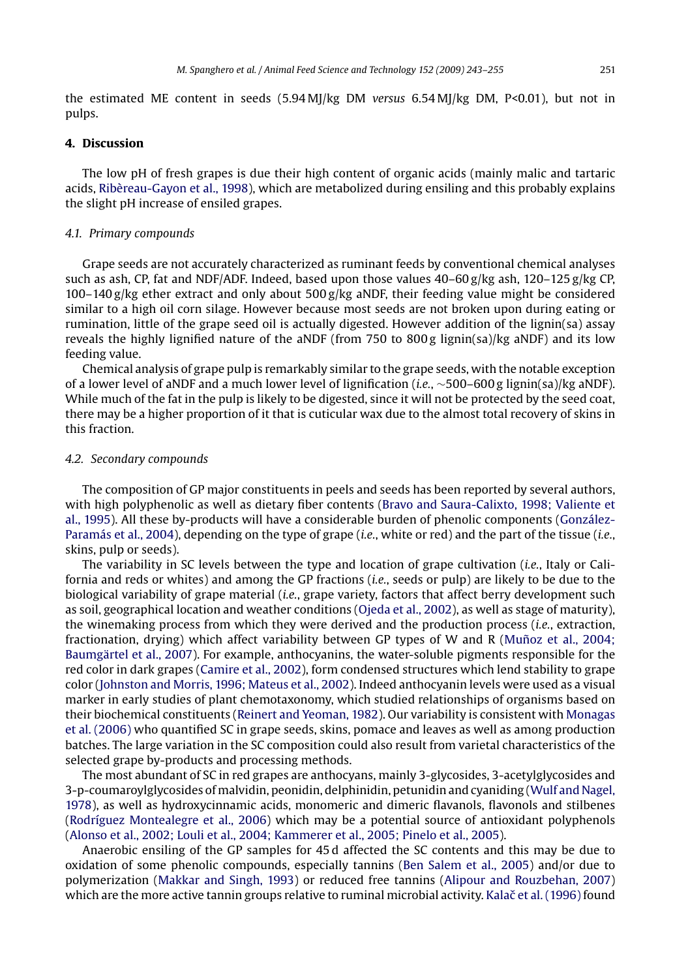the estimated ME content in seeds (5.94 MJ/kg DM *versus* 6.54 MJ/kg DM, P<0.01), but not in pulps.

#### **4. Discussion**

The low pH of fresh grapes is due their high content of organic acids (mainly malic and tartaric acids, [Ribèreau-Gayon et al., 1998\),](#page-11-0) which are metabolized during ensiling and this probably explains the slight pH increase of ensiled grapes.

#### *4.1. Primary compounds*

Grape seeds are not accurately characterized as ruminant feeds by conventional chemical analyses such as ash, CP, fat and NDF/ADF. Indeed, based upon those values  $40-60 g/kg$  ash,  $120-125 g/kg$  CP, 100–140 g/kg ether extract and only about 500 g/kg aNDF, their feeding value might be considered similar to a high oil corn silage. However because most seeds are not broken upon during eating or rumination, little of the grape seed oil is actually digested. However addition of the lignin(sa) assay reveals the highly lignified nature of the aNDF (from 750 to 800 g lignin(sa)/kg aNDF) and its low feeding value.

Chemical analysis of grape pulp is remarkably similar to the grape seeds, with the notable exception of a lower level of aNDF and a much lower level of lignification (*i.e.*, ∼500–600 g lignin(sa)/kg aNDF). While much of the fat in the pulp is likely to be digested, since it will not be protected by the seed coat, there may be a higher proportion of it that is cuticular wax due to the almost total recovery of skins in this fraction.

#### *4.2. Secondary compounds*

The composition of GP major constituents in peels and seeds has been reported by several authors, with high polyphenolic as well as dietary fiber contents ([Bravo and Saura-Calixto, 1998; Valiente et](#page-10-0) [al., 1995\).](#page-10-0) All these by-products will have a considerable burden of phenolic components ([González-](#page-11-0)Paramás [et al., 2004\),](#page-11-0) depending on the type of grape (*i.e.*, white or red) and the part of the tissue (*i.e.*, skins, pulp or seeds).

The variability in SC levels between the type and location of grape cultivation (*i.e.*, Italy or California and reds or whites) and among the GP fractions (*i.e.*, seeds or pulp) are likely to be due to the biological variability of grape material (*i.e.*, grape variety, factors that affect berry development such as soil, geographical location and weather conditions [\(Ojeda et al., 2002\),](#page-11-0) as well as stage of maturity), the winemaking process from which they were derived and the production process (*i.e.*, extraction, fractionation, drying) which affect variability between GP types of W and R (Muñoz et al., 2004; [Baumgärtel et al., 2007\).](#page-11-0) For example, anthocyanins, the water-soluble pigments responsible for the red color in dark grapes [\(Camire et al., 2002\),](#page-10-0) form condensed structures which lend stability to grape color [\(Johnston and Morris, 1996; Mateus et al., 2002\).](#page-11-0) Indeed anthocyanin levels were used as a visual marker in early studies of plant chemotaxonomy, which studied relationships of organisms based on their biochemical constituents [\(Reinert and Yeoman, 1982\).](#page-11-0) Our variability is consistent with [Monagas](#page-11-0) [et al. \(2006\)](#page-11-0) who quantified SC in grape seeds, skins, pomace and leaves as well as among production batches. The large variation in the SC composition could also result from varietal characteristics of the selected grape by-products and processing methods.

The most abundant of SC in red grapes are anthocyans, mainly 3-glycosides, 3-acetylglycosides and 3-p-coumaroylglycosides of malvidin, peonidin, delphinidin, petunidin and cyaniding ([Wulf and Nagel,](#page-12-0) [1978\),](#page-12-0) as well as hydroxycinnamic acids, monomeric and dimeric flavanols, flavonols and stilbenes [\(Rodríguez Montealegre et al., 2006\)](#page-11-0) which may be a potential source of antioxidant polyphenols [\(Alonso et al., 2002; Louli et al., 2004; Kammerer et al., 2005; Pinelo et al., 2005\).](#page-10-0)

Anaerobic ensiling of the GP samples for 45 d affected the SC contents and this may be due to oxidation of some phenolic compounds, especially tannins [\(Ben Salem et al., 2005\)](#page-10-0) and/or due to polymerization ([Makkar and Singh, 1993\)](#page-11-0) or reduced free tannins [\(Alipour and Rouzbehan, 2007\)](#page-10-0) which are the more active tannin groups relative to ruminal microbial activity. Kalač et al. (1996) found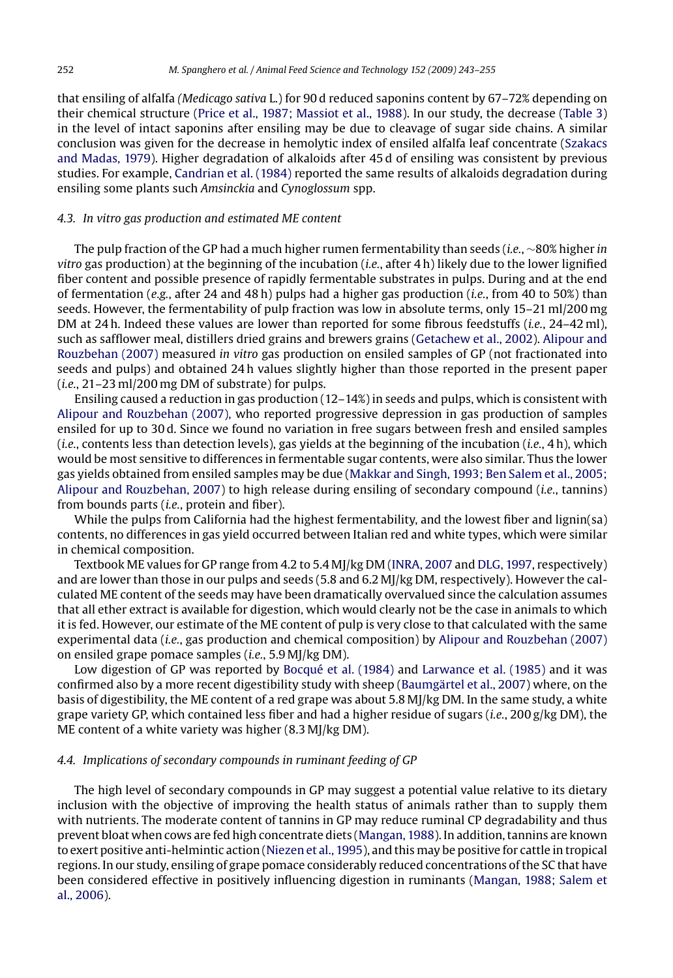that ensiling of alfalfa *(Medicago sativa* L.) for 90 d reduced saponins content by 67–72% depending on their chemical structure ([Price et al., 1987; Massiot et al., 1988\).](#page-11-0) In our study, the decrease ([Table 3\)](#page-6-0) in the level of intact saponins after ensiling may be due to cleavage of sugar side chains. A similar conclusion was given for the decrease in hemolytic index of ensiled alfalfa leaf concentrate [\(Szakacs](#page-12-0) [and Madas, 1979\).](#page-12-0) Higher degradation of alkaloids after 45 d of ensiling was consistent by previous studies. For example, [Candrian et al. \(1984\)](#page-10-0) reported the same results of alkaloids degradation during ensiling some plants such *Amsinckia* and *Cynoglossum* spp.

### *4.3. In vitro gas production and estimated ME content*

The pulp fraction of the GP had a much higher rumen fermentability than seeds (*i.e.*, ∼80% higher *in vitro* gas production) at the beginning of the incubation (*i.e.*, after 4 h) likely due to the lower lignified fiber content and possible presence of rapidly fermentable substrates in pulps. During and at the end of fermentation (*e.g.*, after 24 and 48 h) pulps had a higher gas production (*i.e.*, from 40 to 50%) than seeds. However, the fermentability of pulp fraction was low in absolute terms, only 15–21 ml/200 mg DM at 24 h. Indeed these values are lower than reported for some fibrous feedstuffs (*i.e.*, 24–42 ml), such as safflower meal, distillers dried grains and brewers grains [\(Getachew et al., 2002\).](#page-11-0) [Alipour and](#page-10-0) [Rouzbehan \(2007\)](#page-10-0) measured *in vitro* gas production on ensiled samples of GP (not fractionated into seeds and pulps) and obtained 24 h values slightly higher than those reported in the present paper (*i.e.*, 21–23 ml/200 mg DM of substrate) for pulps.

Ensiling caused a reduction in gas production (12–14%) in seeds and pulps, which is consistent with [Alipour and Rouzbehan \(2007\), w](#page-10-0)ho reported progressive depression in gas production of samples ensiled for up to 30 d. Since we found no variation in free sugars between fresh and ensiled samples (*i.e.*, contents less than detection levels), gas yields at the beginning of the incubation (*i.e.*, 4 h), which would be most sensitive to differences in fermentable sugar contents, were also similar. Thus the lower gas yields obtained from ensiled samples may be due [\(Makkar and Singh, 1993; Ben Salem et al., 2005;](#page-11-0) [Alipour and Rouzbehan, 2007\)](#page-11-0) to high release during ensiling of secondary compound (*i.e.*, tannins) from bounds parts (*i.e.*, protein and fiber).

While the pulps from California had the highest fermentability, and the lowest fiber and lignin(sa) contents, no differences in gas yield occurred between Italian red and white types, which were similar in chemical composition.

Textbook ME values for GP range from 4.2 to 5.4 MJ/kg DM ([INRA, 2007](#page-11-0) and [DLG, 1997, r](#page-10-0)espectively) and are lower than those in our pulps and seeds (5.8 and 6.2 MJ/kg DM, respectively). However the calculated ME content of the seeds may have been dramatically overvalued since the calculation assumes that all ether extract is available for digestion, which would clearly not be the case in animals to which it is fed. However, our estimate of the ME content of pulp is very close to that calculated with the same experimental data (*i.e.*, gas production and chemical composition) by [Alipour and Rouzbehan \(2007\)](#page-10-0) on ensiled grape pomace samples (*i.e.*, 5.9 MJ/kg DM).

Low digestion of GP was reported by [Bocqué et al. \(1984\)](#page-10-0) and [Larwance et al. \(1985\)](#page-11-0) and it was confirmed also by a more recent digestibility study with sheep [\(Baumgärtel et al., 2007\) w](#page-10-0)here, on the basis of digestibility, the ME content of a red grape was about 5.8 MJ/kg DM. In the same study, a white grape variety GP, which contained less fiber and had a higher residue of sugars (*i.e.*, 200 g/kg DM), the ME content of a white variety was higher (8.3 MJ/kg DM).

### *4.4. Implications of secondary compounds in ruminant feeding of GP*

The high level of secondary compounds in GP may suggest a potential value relative to its dietary inclusion with the objective of improving the health status of animals rather than to supply them with nutrients. The moderate content of tannins in GP may reduce ruminal CP degradability and thus prevent bloat when cows are fed high concentrate diets [\(Mangan, 1988\).](#page-11-0) In addition, tannins are known to exert positive anti-helmintic action [\(Niezen et al., 1995\),](#page-11-0) and this may be positive for cattle in tropical regions. In our study, ensiling of grape pomace considerably reduced concentrations of the SC that have been considered effective in positively influencing digestion in ruminants [\(Mangan, 1988; Salem et](#page-11-0) [al., 2006\).](#page-11-0)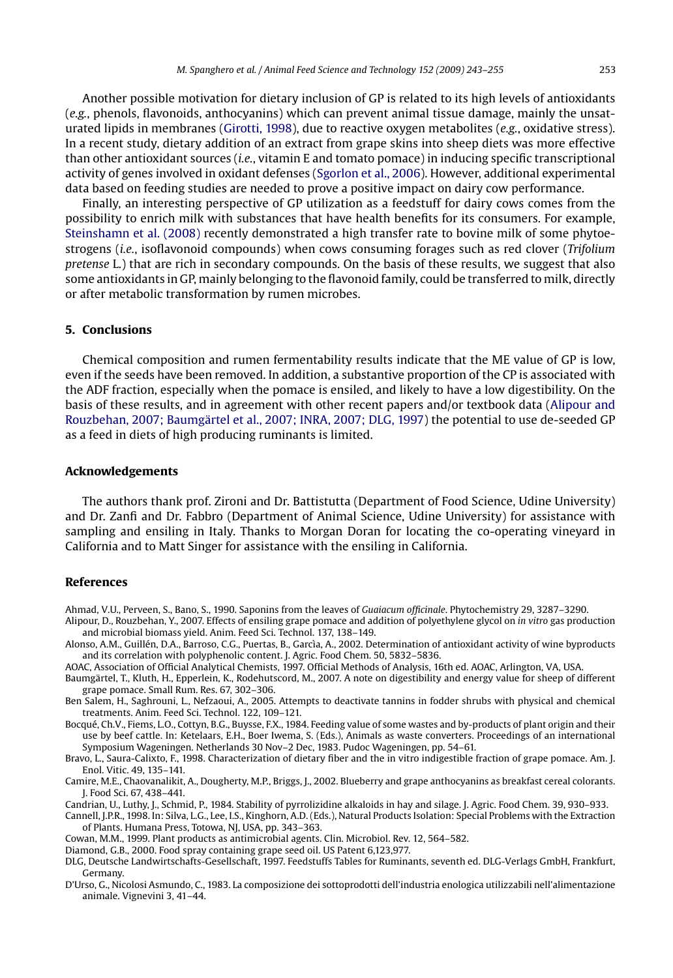<span id="page-10-0"></span>Another possible motivation for dietary inclusion of GP is related to its high levels of antioxidants (*e.g.*, phenols, flavonoids, anthocyanins) which can prevent animal tissue damage, mainly the unsaturated lipids in membranes ([Girotti, 1998\),](#page-11-0) due to reactive oxygen metabolites (*e.g.*, oxidative stress). In a recent study, dietary addition of an extract from grape skins into sheep diets was more effective than other antioxidant sources (*i.e.*, vitamin E and tomato pomace) in inducing specific transcriptional activity of genes involved in oxidant defenses ([Sgorlon et al., 2006\).](#page-12-0) However, additional experimental data based on feeding studies are needed to prove a positive impact on dairy cow performance.

Finally, an interesting perspective of GP utilization as a feedstuff for dairy cows comes from the possibility to enrich milk with substances that have health benefits for its consumers. For example, [Steinshamn et al. \(2008\)](#page-12-0) recently demonstrated a high transfer rate to bovine milk of some phytoestrogens (*i.e.*, isoflavonoid compounds) when cows consuming forages such as red clover (*Trifolium pretense* L.) that are rich in secondary compounds. On the basis of these results, we suggest that also some antioxidants in GP, mainly belonging to the flavonoid family, could be transferred to milk, directly or after metabolic transformation by rumen microbes.

### **5. Conclusions**

Chemical composition and rumen fermentability results indicate that the ME value of GP is low, even if the seeds have been removed. In addition, a substantive proportion of the CP is associated with the ADF fraction, especially when the pomace is ensiled, and likely to have a low digestibility. On the basis of these results, and in agreement with other recent papers and/or textbook data (Alipour and Rouzbehan, 2007; Baumgärtel et al., 2007; INRA, 2007; DLG, 1997) the potential to use de-seeded GP as a feed in diets of high producing ruminants is limited.

#### **Acknowledgements**

The authors thank prof. Zironi and Dr. Battistutta (Department of Food Science, Udine University) and Dr. Zanfi and Dr. Fabbro (Department of Animal Science, Udine University) for assistance with sampling and ensiling in Italy. Thanks to Morgan Doran for locating the co-operating vineyard in California and to Matt Singer for assistance with the ensiling in California.

#### **References**

Ahmad, V.U., Perveen, S., Bano, S., 1990. Saponins from the leaves of *Guaiacum officinale*. Phytochemistry 29, 3287–3290. Alipour, D., Rouzbehan, Y., 2007. Effects of ensiling grape pomace and addition of polyethylene glycol on *in vitro* gas production and microbial biomass yield. Anim. Feed Sci. Technol. 137, 138–149.

Alonso, A.M., Guillén, D.A., Barroso, C.G., Puertas, B., Garcìa, A., 2002. Determination of antioxidant activity of wine byproducts and its correlation with polyphenolic content. J. Agric. Food Chem. 50, 5832–5836.

AOAC, Association of Official Analytical Chemists, 1997. Official Methods of Analysis, 16th ed. AOAC, Arlington, VA, USA.

- Baumgärtel, T., Kluth, H., Epperlein, K., Rodehutscord, M., 2007. A note on digestibility and energy value for sheep of different grape pomace. Small Rum. Res. 67, 302–306.
- Ben Salem, H., Saghrouni, L., Nefzaoui, A., 2005. Attempts to deactivate tannins in fodder shrubs with physical and chemical treatments. Anim. Feed Sci. Technol. 122, 109–121.

Bocqué, Ch.V., Fiems, L.O., Cottyn, B.G., Buysse, F.X., 1984. Feeding value of some wastes and by-products of plant origin and their use by beef cattle. In: Ketelaars, E.H., Boer Iwema, S. (Eds.), Animals as waste converters. Proceedings of an international Symposium Wageningen. Netherlands 30 Nov–2 Dec, 1983. Pudoc Wageningen, pp. 54–61.

Bravo, L., Saura-Calixto, F., 1998. Characterization of dietary fiber and the in vitro indigestible fraction of grape pomace. Am. J. Enol. Vitic. 49, 135–141.

Camire, M.E., Chaovanalikit, A., Dougherty, M.P., Briggs, J., 2002. Blueberry and grape anthocyanins as breakfast cereal colorants. J. Food Sci. 67, 438–441.

Candrian, U., Luthy, J., Schmid, P., 1984. Stability of pyrrolizidine alkaloids in hay and silage. J. Agric. Food Chem. 39, 930–933.

Cannell, J.P.R., 1998. In: Silva, L.G., Lee, I.S., Kinghorn, A.D. (Eds.), Natural Products Isolation: Special Problems with the Extraction of Plants. Humana Press, Totowa, NJ, USA, pp. 343–363.

Cowan, M.M., 1999. Plant products as antimicrobial agents. Clin. Microbiol. Rev. 12, 564–582.

Diamond, G.B., 2000. Food spray containing grape seed oil. US Patent 6,123,977.

DLG, Deutsche Landwirtschafts-Gesellschaft, 1997. Feedstuffs Tables for Ruminants, seventh ed. DLG-Verlags GmbH, Frankfurt, Germany.

D'Urso, G., Nicolosi Asmundo, C., 1983. La composizione dei sottoprodotti dell'industria enologica utilizzabili nell'alimentazione animale. Vignevini 3, 41–44.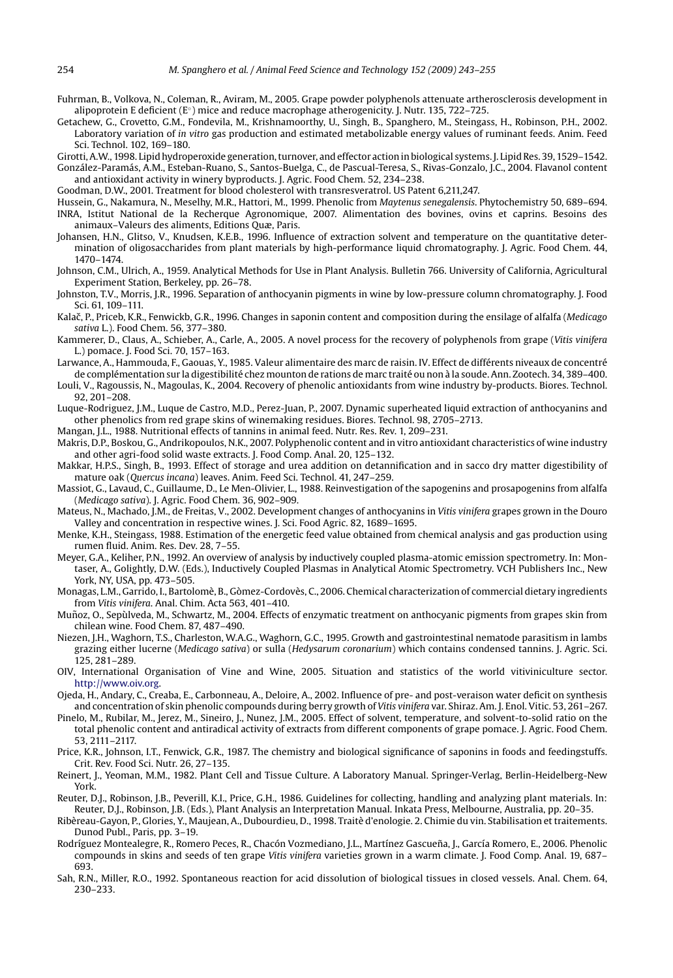- <span id="page-11-0"></span>Fuhrman, B., Volkova, N., Coleman, R., Aviram, M., 2005. Grape powder polyphenols attenuate artherosclerosis development in alipoprotein E deficient ( $E<sup>°</sup>$ ) mice and reduce macrophage atherogenicity. J. Nutr. 135, 722–725.
- Getachew, G., Crovetto, G.M., Fondevila, M., Krishnamoorthy, U., Singh, B., Spanghero, M., Steingass, H., Robinson, P.H., 2002. Laboratory variation of *in vitro* gas production and estimated metabolizable energy values of ruminant feeds. Anim. Feed Sci. Technol. 102, 169–180.
- Girotti, A.W., 1998. Lipid hydroperoxide generation, turnover, and effector action in biological systems. J. Lipid Res. 39, 1529–1542. González-Paramás, A.M., Esteban-Ruano, S., Santos-Buelga, C., de Pascual-Teresa, S., Rivas-Gonzalo, J.C., 2004. Flavanol content and antioxidant activity in winery byproducts. J. Agric. Food Chem. 52, 234–238.

Goodman, D.W., 2001. Treatment for blood cholesterol with transresveratrol. US Patent 6,211,247.

Hussein, G., Nakamura, N., Meselhy, M.R., Hattori, M., 1999. Phenolic from *Maytenus senegalensis*. Phytochemistry 50, 689–694. INRA, Istitut National de la Recherque Agronomique, 2007. Alimentation des bovines, ovins et caprins. Besoins des animaux–Valeurs des aliments, Editions Quæ, Paris.

- Johansen, H.N., Glitso, V., Knudsen, K.E.B., 1996. Influence of extraction solvent and temperature on the quantitative determination of oligosaccharides from plant materials by high-performance liquid chromatography. J. Agric. Food Chem. 44, 1470–1474.
- Johnson, C.M., Ulrich, A., 1959. Analytical Methods for Use in Plant Analysis. Bulletin 766. University of California, Agricultural Experiment Station, Berkeley, pp. 26–78.
- Johnston, T.V., Morris, J.R., 1996. Separation of anthocyanin pigments in wine by low-pressure column chromatography. J. Food Sci. 61, 109–111.
- Kalač, P., Priceb, K.R., Fenwickb, G.R., 1996. Changes in saponin content and composition during the ensilage of alfalfa (Medicago *sativa* L.). Food Chem. 56, 377–380.
- Kammerer, D., Claus, A., Schieber, A., Carle, A., 2005. A novel process for the recovery of polyphenols from grape (*Vitis vinifera* L.) pomace. J. Food Sci. 70, 157–163.
- Larwance, A., Hammouda, F., Gaouas, Y., 1985. Valeur alimentaire des marc de raisin. IV. Effect de différents niveaux de concentré de complémentation sur la digestibilité chez mounton de rations de marc traité ou non à la soude. Ann. Zootech. 34, 389–400.
- Louli, V., Ragoussis, N., Magoulas, K., 2004. Recovery of phenolic antioxidants from wine industry by-products. Biores. Technol. 92, 201–208. Luque-Rodriguez, J.M., Luque de Castro, M.D., Perez-Juan, P., 2007. Dynamic superheated liquid extraction of anthocyanins and
- other phenolics from red grape skins of winemaking residues. Biores. Technol. 98, 2705–2713.
- Mangan, J.L., 1988. Nutritional effects of tannins in animal feed. Nutr. Res. Rev. 1, 209–231.
- Makris, D.P., Boskou, G., Andrikopoulos, N.K., 2007. Polyphenolic content and in vitro antioxidant characteristics of wine industry and other agri-food solid waste extracts. J. Food Comp. Anal. 20, 125–132.
- Makkar, H.P.S., Singh, B., 1993. Effect of storage and urea addition on detannification and in sacco dry matter digestibility of mature oak (*Quercus incana*) leaves. Anim. Feed Sci. Technol. 41, 247–259.
- Massiot, G., Lavaud, C., Guillaume, D., Le Men-Olivier, L., 1988. Reinvestigation of the sapogenins and prosapogenins from alfalfa (*Medicago sativa*). J. Agric. Food Chem. 36, 902–909.
- Mateus, N., Machado, J.M., de Freitas, V., 2002. Development changes of anthocyanins in *Vitis vinifera* grapes grown in the Douro Valley and concentration in respective wines. J. Sci. Food Agric. 82, 1689–1695.
- Menke, K.H., Steingass, 1988. Estimation of the energetic feed value obtained from chemical analysis and gas production using rumen fluid. Anim. Res. Dev. 28, 7–55.
- Meyer, G.A., Keliher, P.N., 1992. An overview of analysis by inductively coupled plasma-atomic emission spectrometry. In: Montaser, A., Golightly, D.W. (Eds.), Inductively Coupled Plasmas in Analytical Atomic Spectrometry. VCH Publishers Inc., New York, NY, USA, pp. 473–505.
- Monagas, L.M., Garrido, I., Bartolomè, B., Gòmez-Cordovès, C., 2006. Chemical characterization of commercial dietary ingredients from *Vitis vinifera*. Anal. Chim. Acta 563, 401–410.
- Muñoz, O., Sepùlveda, M., Schwartz, M., 2004. Effects of enzymatic treatment on anthocyanic pigments from grapes skin from chilean wine. Food Chem. 87, 487–490.
- Niezen, J.H., Waghorn, T.S., Charleston, W.A.G., Waghorn, G.C., 1995. Growth and gastrointestinal nematode parasitism in lambs grazing either lucerne (*Medicago sativa*) or sulla (*Hedysarum coronarium*) which contains condensed tannins. J. Agric. Sci. 125, 281–289.
- OIV, International Organisation of Vine and Wine, 2005. Situation and statistics of the world vitiviniculture sector. [http://www.oiv.org.](http://www.oiv.org/)
- Ojeda, H., Andary, C., Creaba, E., Carbonneau, A., Deloire, A., 2002. Influence of pre- and post-veraison water deficit on synthesis and concentration of skin phenolic compounds during berry growth of *Vitis vinifera* var. Shiraz. Am. J. Enol. Vitic. 53, 261–267.
- Pinelo, M., Rubilar, M., Jerez, M., Sineiro, J., Nunez, J.M., 2005. Effect of solvent, temperature, and solvent-to-solid ratio on the total phenolic content and antiradical activity of extracts from different components of grape pomace. J. Agric. Food Chem. 53, 2111–2117.
- Price, K.R., Johnson, I.T., Fenwick, G.R., 1987. The chemistry and biological significance of saponins in foods and feedingstuffs. Crit. Rev. Food Sci. Nutr. 26, 27–135.
- Reinert, J., Yeoman, M.M., 1982. Plant Cell and Tissue Culture. A Laboratory Manual. Springer-Verlag, Berlin-Heidelberg-New York.
- Reuter, D.J., Robinson, J.B., Peverill, K.I., Price, G.H., 1986. Guidelines for collecting, handling and analyzing plant materials. In: Reuter, D.J., Robinson, J.B. (Eds.), Plant Analysis an Interpretation Manual. Inkata Press, Melbourne, Australia, pp. 20–35.
- Ribèreau-Gayon, P., Glories, Y., Maujean, A., Dubourdieu, D., 1998. Traitè d'enologie. 2. Chimie du vin. Stabilisation et traitements. Dunod Publ., Paris, pp. 3–19.
- Rodríguez Montealegre, R., Romero Peces, R., Chacón Vozmediano, J.L., Martínez Gascueña, J., García Romero, E., 2006. Phenolic compounds in skins and seeds of ten grape *Vitis vinifera* varieties grown in a warm climate. J. Food Comp. Anal. 19, 687– 693.
- Sah, R.N., Miller, R.O., 1992. Spontaneous reaction for acid dissolution of biological tissues in closed vessels. Anal. Chem. 64, 230–233.